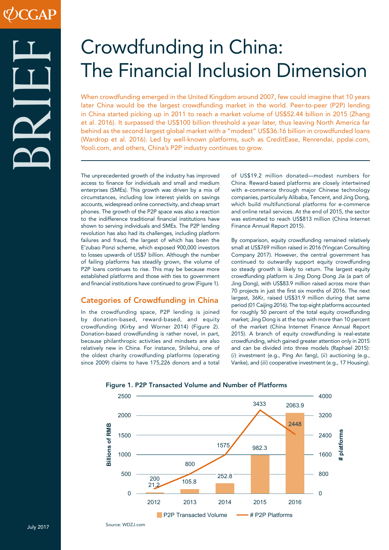# Crowdfunding in China: The Financial Inclusion Dimension

When crowdfunding emerged in the United Kingdom around 2007, few could imagine that 10 years later China would be the largest crowdfunding market in the world. Peer-to-peer (P2P) lending in China started picking up in 2011 to reach a market volume of US\$52.44 billion in 2015 (Zhang et al. 2016). It surpassed the US\$100 billion threshold a year later, thus leaving North America far behind as the second largest global market with a "modest" US\$36.16 billion in crowdfunded loans (Wardrop et al. 2016). Led by well-known platforms, such as CreditEase, Renrendai, ppdai.com, Yooli.com, and others, China's P2P industry continues to grow.

The unprecedented growth of the industry has improved access to finance for individuals and small and medium enterprises (SMEs). This growth was driven by a mix of circumstances, including low interest yields on savings accounts, widespread online connectivity, and cheap smart phones. The growth of the P2P space was also a reaction to the indifference traditional financial institutions have shown to serving individuals and SMEs. The P2P lending revolution has also had its challenges, including platform failures and fraud, the largest of which has been the E'zubao Ponzi scheme, which exposed 900,000 investors to losses upwards of US\$7 billion. Although the number of failing platforms has steadily grown, the volume of P2P loans continues to rise. This may be because more established platforms and those with ties to government and financial institutions have continued to grow (Figure 1).

# Categories of Crowdfunding in China

In the crowdfunding space, P2P lending is joined by donation-based, reward-based, and equity crowdfunding (Kirby and Worner 2014) (Figure 2). Donation-based crowdfunding is rather novel, in part, because philanthropic activities and mindsets are also relatively new in China. For instance, Shilehui, one of the oldest charity crowdfunding platforms (operating since 2009) claims to have 175,226 donors and a total

Source: WDZJ.com

of US\$19.2 million donated—modest numbers for China. Reward-based platforms are closely intertwined with e-commerce through major Chinese technology companies, particularly Alibaba, Tencent, and Jing Dong, which build multifunctional platforms for e-commerce and online retail services. At the end of 2015, the sector was estimated to reach US\$813 million (China Internet Finance Annual Report 2015).

By comparison, equity crowdfunding remained relatively small at US\$769 million raised in 2016 (Yingcan Consulting Company 2017). However, the central government has continued to outwardly support equity crowdfunding so steady growth is likely to return. The largest equity crowdfunding platform is Jing Dong Dong Jia (a part of Jing Dong), with US\$83.9 million raised across more than 70 projects in just the first six months of 2016. The next largest, 36Kr, raised US\$31.9 million during that same period (01 Caijing 2016). The top eight platforms accounted for roughly 50 percent of the total equity crowdfunding market; Jing Dong is at the top with more than 10 percent of the market (China Internet Finance Annual Report 2015). A branch of equity crowdfunding is real-estate crowdfunding, which gained greater attention only in 2015 and can be divided into three models (Raphael 2015): (*i*) investment (e.g., Ping An fang), (*ii*) auctioning (e.g., Vanke), and (*iii*) cooperative investment (e.g., 17 Housing).



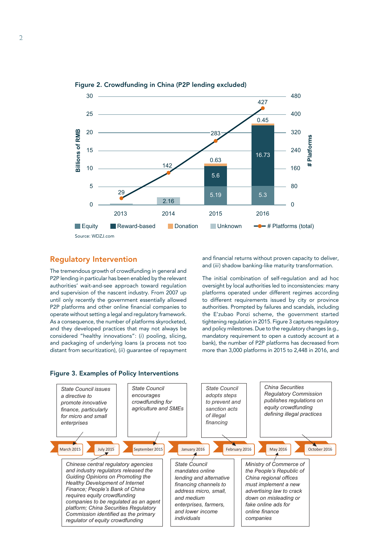

Figure 2. Crowdfunding in China (P2P lending excluded)

Regulatory Intervention

The tremendous growth of crowdfunding in general and P2P lending in particular has been enabled by the relevant authorities' wait-and-see approach toward regulation and supervision of the nascent industry. From 2007 up until only recently the government essentially allowed P2P platforms and other online financial companies to operate without setting a legal and regulatory framework. As a consequence, the number of platforms skyrocketed, and they developed practices that may not always be considered "healthy innovations": (*i*) pooling, slicing, and packaging of underlying loans (a process not too distant from securitization), (*ii*) guarantee of repayment and financial returns without proven capacity to deliver, and (*iii*) shadow banking-like maturity transformation.

The initial combination of self-regulation and ad hoc oversight by local authorities led to inconsistencies: many platforms operated under different regimes according to different requirements issued by city or province authorities. Prompted by failures and scandals, including the E'zubao Ponzi scheme, the government started tightening regulation in 2015. Figure 3 captures regulatory and policy milestones. Due to the regulatory changes (e.g., mandatory requirement to open a custody account at a bank), the number of P2P platforms has decreased from more than 3,000 platforms in 2015 to 2,448 in 2016, and



#### Figure 3. Examples of Policy Interventions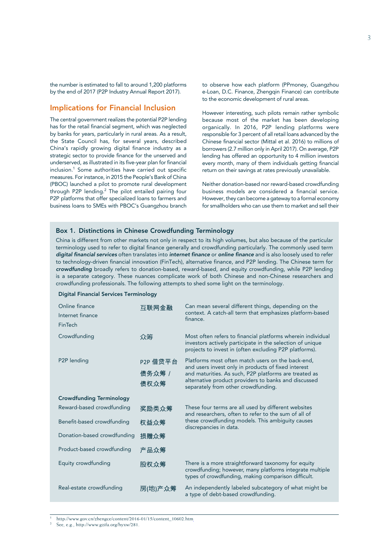the number is estimated to fall to around 1,200 platforms by the end of 2017 (P2P Industry Annual Report 2017).

# Implications for Financial Inclusion

The central government realizes the potential P2P lending has for the retail financial segment, which was neglected by banks for years, particularly in rural areas. As a result, the State Council has, for several years, described China's rapidly growing digital finance industry as a strategic sector to provide finance for the unserved and underserved, as illustrated in its five-year plan for financial inclusion.<sup>1</sup> Some authorities have carried out specific measures. For instance, in 2015 the People's Bank of China (PBOC) launched a pilot to promote rural development through P2P lending.<sup>2</sup> The pilot entailed pairing four P2P platforms that offer specialized loans to farmers and business loans to SMEs with PBOC's Guangzhou branch

to observe how each platform (PPmoney, Guangzhou e-Loan, D.C. Finance, Zhengqin Finance) can contribute to the economic development of rural areas.

However interesting, such pilots remain rather symbolic because most of the market has been developing organically. In 2016, P2P lending platforms were responsible for 3 percent of all retail loans advanced by the Chinese financial sector (Mittal et al. 2016) to millions of borrowers (2.7 million only in April 2017). On average, P2P lending has offered an opportunity to 4 million investors every month, many of them individuals getting financial return on their savings at rates previously unavailable.

Neither donation-based nor reward-based crowdfunding business models are considered a financial service. However, they can become a gateway to a formal economy for smallholders who can use them to market and sell their

#### Box 1. Distinctions in Chinese Crowdfunding Terminology

China is different from other markets not only in respect to its high volumes, but also because of the particular terminology used to refer to digital finance generally and crowdfunding particularly. The commonly used term *digital financial services* often translates into *internet finance* or *online finance* and is also loosely used to refer to technology-driven financial innovation (FinTech), alternative finance, and P2P lending. The Chinese term for *crowdfunding* broadly refers to donation-based, reward-based, and equity crowdfunding, while P2P lending is a separate category. These nuances complicate work of both Chinese and non-Chinese researchers and crowdfunding professionals. The following attempts to shed some light on the terminology.

#### Digital Financial Services Terminology

| Online finance<br>Internet finance<br>FinTech | 互联网金融                     | Can mean several different things, depending on the<br>context. A catch-all term that emphasizes platform-based<br>finance.                                                                                                                                      |
|-----------------------------------------------|---------------------------|------------------------------------------------------------------------------------------------------------------------------------------------------------------------------------------------------------------------------------------------------------------|
| Crowdfunding                                  | 众筹                        | Most often refers to financial platforms wherein individual<br>investors actively participate in the selection of unique<br>projects to invest in (often excluding P2P platforms).                                                                               |
| P2P lending                                   | P2P 借贷平台<br>债务众筹/<br>债权众筹 | Platforms most often match users on the back-end,<br>and users invest only in products of fixed interest<br>and maturities. As such, P2P platforms are treated as<br>alternative product providers to banks and discussed<br>separately from other crowdfunding. |
| <b>Crowdfunding Terminology</b>               |                           |                                                                                                                                                                                                                                                                  |
| Reward-based crowdfunding                     | 奖励类众筹                     | These four terms are all used by different websites<br>and researchers, often to refer to the sum of all of<br>these crowdfunding models. This ambiguity causes<br>discrepancies in data.                                                                        |
| Benefit-based crowdfunding                    | 权益众筹                      |                                                                                                                                                                                                                                                                  |
| Donation-based crowdfunding                   | 损赠众筹                      |                                                                                                                                                                                                                                                                  |
| Product-based crowdfunding                    | 产品众筹                      |                                                                                                                                                                                                                                                                  |
| Equity crowdfunding                           | 股权众筹                      | There is a more straightforward taxonomy for equity<br>crowdfunding; however, many platforms integrate multiple<br>types of crowdfunding, making comparison difficult.                                                                                           |
| Real-estate crowdfunding                      | 房(地)产众筹                   | An independently labeled subcategory of what might be<br>a type of debt-based crowdfunding.                                                                                                                                                                      |

<sup>1</sup> http://www.gov.cn/zhengce/content/2016-01/15/content\_10602.htm

See, e.g., http://www.gzifa.org/hyxw/281.